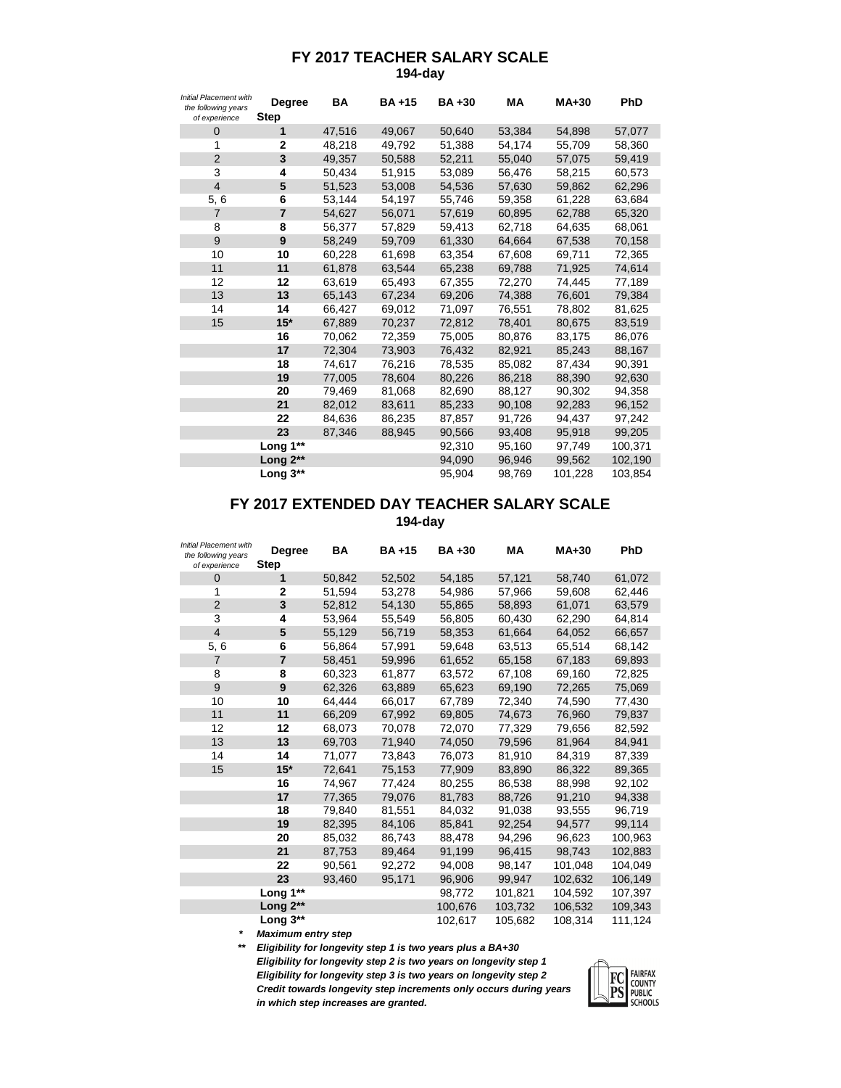## **FY 2017 TEACHER SALARY SCALE 194-day**

| <b>Initial Placement with</b><br>the following years<br>of experience | <b>Degree</b><br><b>Step</b> | <b>BA</b> | <b>BA+15</b> | <b>BA+30</b> | <b>MA</b> | <b>MA+30</b> | PhD     |
|-----------------------------------------------------------------------|------------------------------|-----------|--------------|--------------|-----------|--------------|---------|
| 0                                                                     | 1                            | 47,516    | 49,067       | 50,640       | 53,384    | 54,898       | 57,077  |
| 1                                                                     | 2                            | 48,218    | 49,792       | 51,388       | 54,174    | 55,709       | 58,360  |
| $\overline{2}$                                                        | 3                            | 49,357    | 50,588       | 52,211       | 55,040    | 57,075       | 59,419  |
| 3                                                                     | 4                            | 50,434    | 51,915       | 53,089       | 56,476    | 58,215       | 60,573  |
| $\overline{4}$                                                        | 5                            | 51,523    | 53,008       | 54,536       | 57,630    | 59,862       | 62,296  |
| 5,6                                                                   | 6                            | 53,144    | 54,197       | 55,746       | 59,358    | 61,228       | 63,684  |
| $\overline{7}$                                                        | $\overline{7}$               | 54,627    | 56,071       | 57,619       | 60,895    | 62,788       | 65,320  |
| 8                                                                     | 8                            | 56,377    | 57,829       | 59,413       | 62,718    | 64,635       | 68,061  |
| 9                                                                     | 9                            | 58,249    | 59,709       | 61,330       | 64,664    | 67,538       | 70,158  |
| 10                                                                    | 10                           | 60,228    | 61,698       | 63,354       | 67,608    | 69,711       | 72,365  |
| 11                                                                    | 11                           | 61,878    | 63,544       | 65,238       | 69,788    | 71,925       | 74,614  |
| 12                                                                    | 12                           | 63,619    | 65,493       | 67,355       | 72,270    | 74,445       | 77,189  |
| 13                                                                    | 13                           | 65,143    | 67,234       | 69,206       | 74,388    | 76,601       | 79,384  |
| 14                                                                    | 14                           | 66,427    | 69,012       | 71,097       | 76,551    | 78,802       | 81,625  |
| 15                                                                    | $15*$                        | 67,889    | 70,237       | 72,812       | 78,401    | 80,675       | 83,519  |
|                                                                       | 16                           | 70,062    | 72,359       | 75,005       | 80,876    | 83,175       | 86,076  |
|                                                                       | 17                           | 72,304    | 73,903       | 76,432       | 82,921    | 85,243       | 88,167  |
|                                                                       | 18                           | 74,617    | 76,216       | 78,535       | 85,082    | 87,434       | 90,391  |
|                                                                       | 19                           | 77,005    | 78,604       | 80,226       | 86,218    | 88,390       | 92,630  |
|                                                                       | 20                           | 79,469    | 81,068       | 82,690       | 88,127    | 90,302       | 94,358  |
|                                                                       | 21                           | 82,012    | 83,611       | 85,233       | 90,108    | 92,283       | 96,152  |
|                                                                       | 22                           | 84,636    | 86,235       | 87,857       | 91,726    | 94,437       | 97,242  |
|                                                                       | 23                           | 87.346    | 88,945       | 90,566       | 93,408    | 95,918       | 99,205  |
|                                                                       | Long 1**                     |           |              | 92,310       | 95,160    | 97,749       | 100,371 |
|                                                                       | Long $2**$                   |           |              | 94,090       | 96,946    | 99,562       | 102,190 |
|                                                                       | Long $3^{**}$                |           |              | 95,904       | 98,769    | 101,228      | 103.854 |

## **194-day FY 2017 EXTENDED DAY TEACHER SALARY SCALE**

| <b>Initial Placement with</b><br>the following years<br>of experience | <b>Degree</b><br><b>Step</b> | BA     | <b>BA+15</b> | <b>BA+30</b> | <b>MA</b> | $MA+30$ | PhD     |
|-----------------------------------------------------------------------|------------------------------|--------|--------------|--------------|-----------|---------|---------|
| 0                                                                     | 1                            | 50,842 | 52,502       | 54,185       | 57,121    | 58,740  | 61,072  |
| 1                                                                     | $\overline{2}$               | 51,594 | 53,278       | 54,986       | 57,966    | 59,608  | 62,446  |
| $\overline{2}$                                                        | 3                            | 52,812 | 54,130       | 55,865       | 58,893    | 61,071  | 63,579  |
| 3                                                                     | 4                            | 53,964 | 55,549       | 56,805       | 60,430    | 62,290  | 64,814  |
| $\overline{\mathbf{4}}$                                               | 5                            | 55,129 | 56,719       | 58,353       | 61,664    | 64,052  | 66,657  |
| 5,6                                                                   | 6                            | 56,864 | 57,991       | 59,648       | 63,513    | 65,514  | 68,142  |
| $\overline{7}$                                                        | $\overline{7}$               | 58,451 | 59,996       | 61,652       | 65,158    | 67,183  | 69,893  |
| 8                                                                     | 8                            | 60,323 | 61,877       | 63,572       | 67,108    | 69,160  | 72,825  |
| 9                                                                     | 9                            | 62,326 | 63,889       | 65,623       | 69,190    | 72,265  | 75,069  |
| 10                                                                    | 10                           | 64,444 | 66,017       | 67,789       | 72,340    | 74,590  | 77,430  |
| 11                                                                    | 11                           | 66,209 | 67,992       | 69,805       | 74,673    | 76,960  | 79,837  |
| 12                                                                    | 12                           | 68,073 | 70,078       | 72,070       | 77,329    | 79,656  | 82,592  |
| 13                                                                    | 13                           | 69,703 | 71,940       | 74,050       | 79,596    | 81,964  | 84,941  |
| 14                                                                    | 14                           | 71,077 | 73,843       | 76,073       | 81,910    | 84,319  | 87,339  |
| 15                                                                    | $15*$                        | 72,641 | 75,153       | 77,909       | 83,890    | 86,322  | 89,365  |
|                                                                       | 16                           | 74,967 | 77,424       | 80,255       | 86,538    | 88,998  | 92,102  |
|                                                                       | 17                           | 77,365 | 79.076       | 81,783       | 88,726    | 91,210  | 94,338  |
|                                                                       | 18                           | 79,840 | 81,551       | 84,032       | 91,038    | 93,555  | 96,719  |
|                                                                       | 19                           | 82,395 | 84,106       | 85,841       | 92,254    | 94,577  | 99,114  |
|                                                                       | 20                           | 85,032 | 86,743       | 88,478       | 94,296    | 96,623  | 100,963 |
|                                                                       | 21                           | 87,753 | 89,464       | 91,199       | 96,415    | 98,743  | 102,883 |
|                                                                       | 22                           | 90,561 | 92,272       | 94,008       | 98,147    | 101,048 | 104,049 |
|                                                                       | 23                           | 93,460 | 95,171       | 96,906       | 99,947    | 102,632 | 106,149 |
|                                                                       | Long 1**                     |        |              | 98,772       | 101,821   | 104,592 | 107,397 |
|                                                                       | Long 2**                     |        |              | 100,676      | 103,732   | 106,532 | 109,343 |
|                                                                       | Long 3**                     |        |              | 102.617      | 105,682   | 108,314 | 111,124 |

*\* Maximum entry step*

*\*\* Eligibility for longevity step 1 is two years plus a BA+30*

*Eligibility for longevity step 2 is two years on longevity step 1 Eligibility for longevity step 3 is two years on longevity step 2 Credit towards longevity step increments only occurs during years in which step increases are granted.*